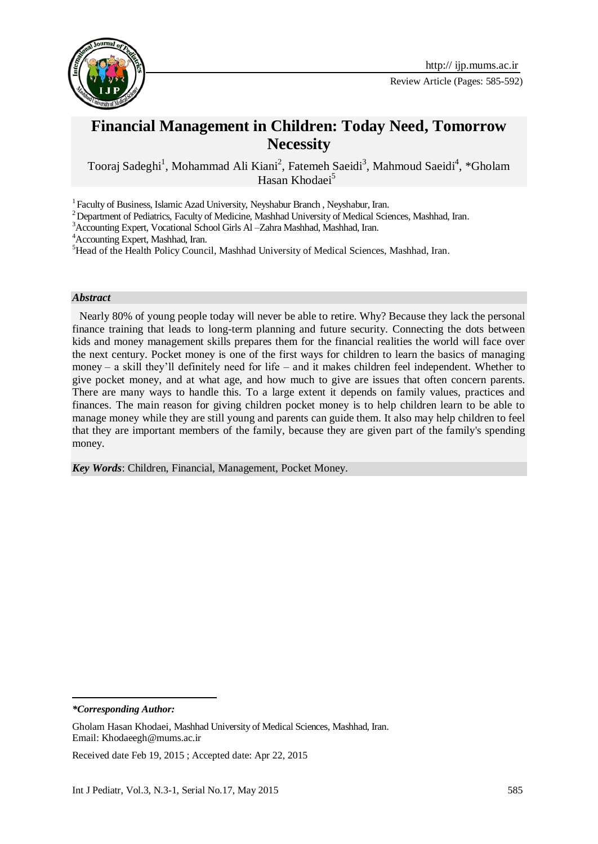

# **Financial Management in Children: Today Need, Tomorrow Necessity**

Tooraj Sadeghi<sup>1</sup>, Mohammad Ali Kiani<sup>2</sup>, Fatemeh Saeidi<sup>3</sup>, Mahmoud Saeidi<sup>4</sup>, \*Gholam Hasan Khodaei<sup>5</sup>

<sup>1</sup> Faculty of Business, Islamic Azad University, Neyshabur Branch, Neyshabur, Iran.

<sup>2</sup> Department of Pediatrics, Faculty of Medicine, Mashhad University of Medical Sciences, Mashhad, Iran.

<sup>3</sup>Accounting Expert, Vocational School Girls Al –Zahra Mashhad, Mashhad, Iran.

<sup>4</sup>Accounting Expert, Mashhad, Iran.

<sup>5</sup>Head of the Health Policy Council, Mashhad University of Medical Sciences, Mashhad, Iran.

#### *Abstract*

Nearly 80% of young people today will never be able to retire. Why? Because they lack the personal finance training that leads to long-term planning and future security. Connecting the dots between kids and money management skills prepares them for the financial realities the world will face over the next century. Pocket money is one of the first ways for children to learn the basics of managing money – a skill they'll definitely need for life – and it makes children feel independent. Whether to give pocket money, and at what age, and how much to give are issues that often concern parents. There are many ways to handle this. To a large extent it depends on family values, practices and finances. The main reason for giving children pocket money is to help children learn to be able to manage money while they are still young and parents can guide them. It also may help children to feel that they are important members of the family, because they are given part of the family's spending money.

*Key Words*: Children, Financial, Management, Pocket Money.

*\*Corresponding Author:*

1

Received date Feb 19, 2015 ; Accepted date: Apr 22, 2015

Gholam Hasan Khodaei, Mashhad University of Medical Sciences, Mashhad, Iran. Email: Khodaeegh@mums.ac.ir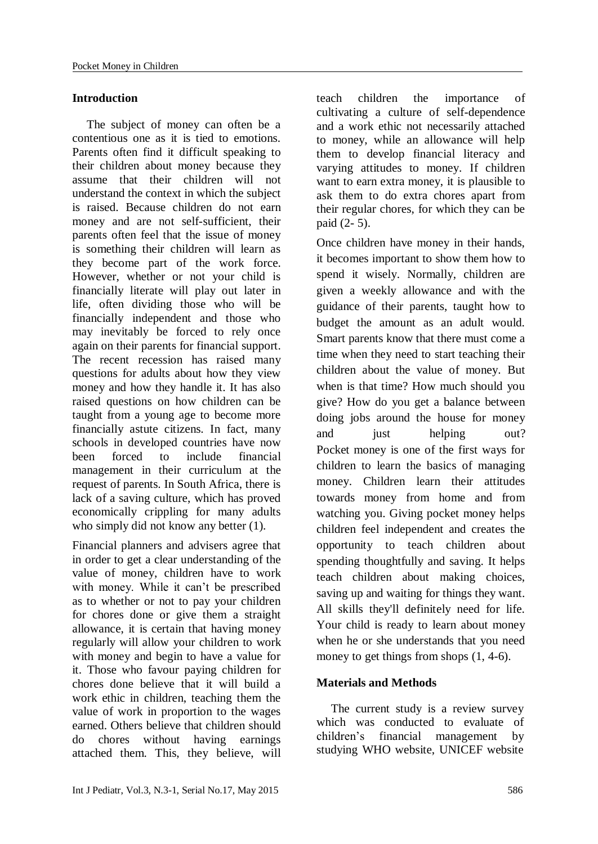## **Introduction**

The subject of money can often be a contentious one as it is tied to emotions. Parents often find it difficult speaking to their children about money because they assume that their children will not understand the context in which the subject is raised. Because children do not earn money and are not self-sufficient, their parents often feel that the issue of money is something their children will learn as they become part of the work force. However, whether or not your child is financially literate will play out later in life, often dividing those who will be financially independent and those who may inevitably be forced to rely once again on their parents for financial support. The recent recession has raised many questions for adults about how they view money and how they handle it. It has also raised questions on how children can be taught from a young age to become more financially astute citizens. In fact, many schools in developed countries have now been forced to include financial management in their curriculum at the request of parents. In South Africa, there is lack of a saving culture, which has proved economically crippling for many adults who simply did not know any better  $(1)$ .

Financial planners and advisers agree that in order to get a clear understanding of the value of money, children have to work with money. While it can't be prescribed as to whether or not to pay your children for chores done or give them a straight allowance, it is certain that having money regularly will allow your children to work with money and begin to have a value for it. Those who favour paying children for chores done believe that it will build a work ethic in children, teaching them the value of work in proportion to the wages earned. Others believe that children should do chores without having earnings attached them. This, they believe, will teach children the importance of cultivating a culture of self-dependence and a work ethic not necessarily attached to money, while an allowance will help them to develop financial literacy and varying attitudes to money. If children want to earn extra money, it is plausible to ask them to do extra chores apart from their regular chores, for which they can be paid (2- 5).

Once children have money in their hands, it becomes important to show them how to spend it wisely. Normally, children are given a weekly allowance and with the guidance of their parents, taught how to budget the amount as an adult would. Smart parents know that there must come a time when they need to start teaching their children about the value of money. But when is that time? How much should you give? How do you get a balance between doing jobs around the house for money and just helping out? Pocket money is one of the first ways for children to learn the basics of managing money. Children learn their attitudes towards money from home and from watching you. Giving pocket money helps children feel independent and creates the opportunity to teach children about spending thoughtfully and saving. It helps teach children about making choices, saving up and waiting for things they want. All skills they'll definitely need for life. Your child is ready to learn about money when he or she understands that you need money to get things from shops  $(1, 4-6)$ .

## **Materials and Methods**

The current study is a review survey which was conducted to evaluate of children's financial management by studying WHO website, UNICEF website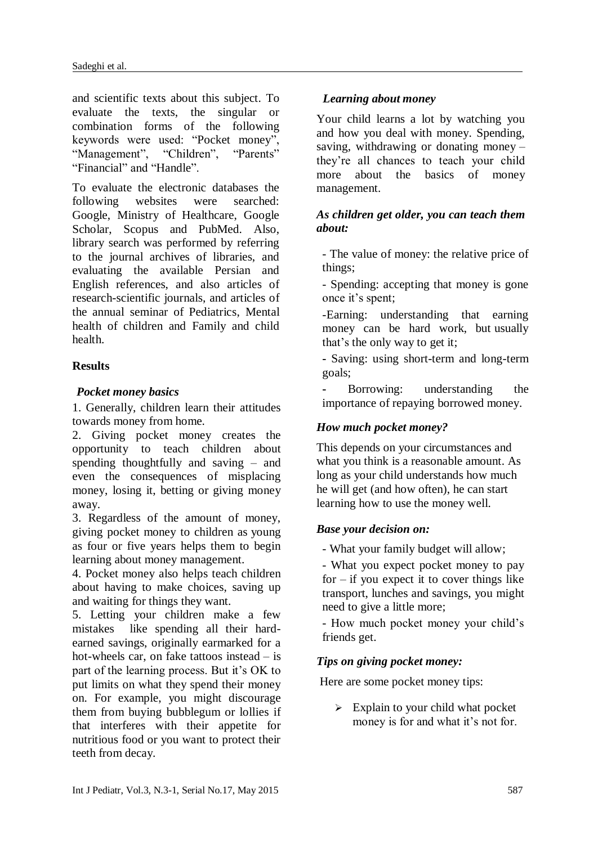and scientific texts about this subject. To evaluate the texts, the singular or combination forms of the following keywords were used: "Pocket money", "Management", "Children", "Parents" "Financial" and "Handle".

To evaluate the electronic databases the following websites were searched: Google, Ministry of Healthcare, Google Scholar, Scopus and PubMed. Also, library search was performed by referring to the journal archives of libraries, and evaluating the available Persian and English references, and also articles of research-scientific journals, and articles of the annual seminar of Pediatrics, Mental health of children and Family and child health.

## **Results**

## *Pocket money basics*

1. Generally, children learn their attitudes towards money from home.

2. Giving pocket money creates the opportunity to teach children about spending thoughtfully and saving – and even the consequences of misplacing money, losing it, betting or giving money away.

3. Regardless of the amount of money, giving pocket money to children as young as four or five years helps them to begin learning about money management.

4. Pocket money also helps teach children about having to make choices, saving up and waiting for things they want.

5. Letting your children make a few mistakes like spending all their hardearned savings, originally earmarked for a hot-wheels car, on fake tattoos instead – is part of the learning process. But it's OK to put limits on what they spend their money on. For example, you might discourage them from buying bubblegum or lollies if that interferes with their appetite for nutritious food or you want to protect their teeth from decay.

## *Learning about money*

Your child learns a lot by watching you and how you deal with money. Spending, saving, withdrawing or donating money – they're all chances to teach your child more about the basics of money management.

### *As children get older, you can teach them about:*

- The value of money: the relative price of things;

- Spending: accepting that money is gone once it's spent;

-Earning: understanding that earning money can be hard work, but usually that's the only way to get it;

**-** Saving: using short-term and long-term goals;

**-** Borrowing: understanding the importance of repaying borrowed money.

## *How much pocket money?*

This depends on your circumstances and what you think is a reasonable amount. As long as your child understands how much he will get (and how often), he can start learning how to use the money well.

## *Base your decision on:*

- What your family budget will allow;

- What you expect pocket money to pay for  $-$  if you expect it to cover things like transport, lunches and savings, you might need to give a little more;

- How much pocket money your child's friends get.

## *Tips on giving pocket money:*

Here are some pocket money tips:

 $\triangleright$  Explain to your child what pocket money is for and what it's not for.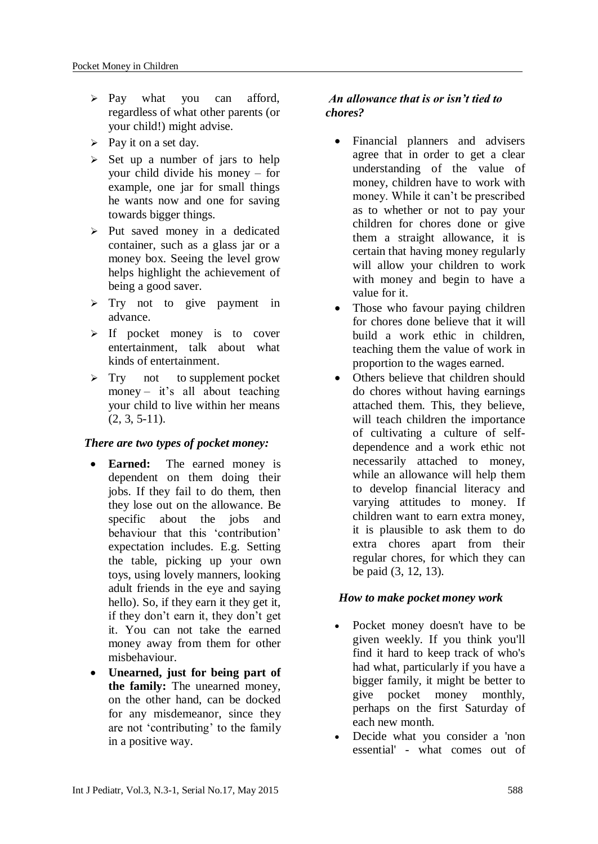- $\triangleright$  Pay what you can afford, regardless of what other parents (or your child!) might advise.
- $\triangleright$  Pay it on a set day.
- $\geq$  Set up a number of jars to help your child divide his money – for example, one jar for small things he wants now and one for saving towards bigger things.
- $\triangleright$  Put saved money in a dedicated container, such as a glass jar or a money box. Seeing the level grow helps highlight the achievement of being a good saver.
- $\triangleright$  Try not to give payment in advance.
- $\triangleright$  If pocket money is to cover entertainment, talk about what kinds of entertainment.
- $\triangleright$  Try not to supplement pocket money – it's all about teaching your child to live within her means (2, 3, 5-11).

## *There are two types of pocket money:*

- **Earned:** The earned money is dependent on them doing their jobs. If they fail to do them, then they lose out on the allowance. Be specific about the jobs and behaviour that this 'contribution' expectation includes. E.g. Setting the table, picking up your own toys, using lovely manners, looking adult friends in the eye and saying hello). So, if they earn it they get it, if they don't earn it, they don't get it. You can not take the earned money away from them for other misbehaviour.
- **Unearned, just for being part of the family:** The unearned money, on the other hand, can be docked for any misdemeanor, since they are not 'contributing' to the family in a positive way.

## *An allowance that is or isn't tied to chores?*

- Financial planners and advisers agree that in order to get a clear understanding of the value of money, children have to work with money. While it can't be prescribed as to whether or not to pay your children for chores done or give them a straight allowance, it is certain that having money regularly will allow your children to work with money and begin to have a value for it.
- Those who favour paying children for chores done believe that it will build a work ethic in children, teaching them the value of work in proportion to the wages earned.
- Others believe that children should do chores without having earnings attached them. This, they believe, will teach children the importance of cultivating a culture of selfdependence and a work ethic not necessarily attached to money, while an allowance will help them to develop financial literacy and varying attitudes to money. If children want to earn extra money, it is plausible to ask them to do extra chores apart from their regular chores, for which they can be paid (3, 12, 13).

## *How to make pocket money work*

- Pocket money doesn't have to be given weekly. If you think you'll find it hard to keep track of who's had what, particularly if you have a bigger family, it might be better to give pocket money monthly, perhaps on the first Saturday of each new month.
- Decide what you consider a 'non essential' - what comes out of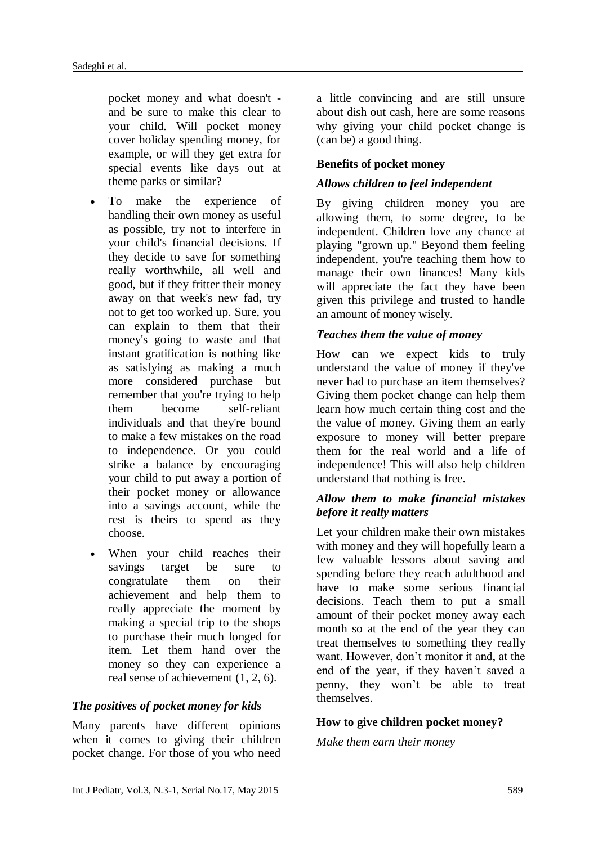pocket money and what doesn't and be sure to make this clear to your child. Will pocket money cover holiday spending money, for example, or will they get extra for special events like days out at theme parks or similar?

- To make the experience of handling their own money as useful as possible, try not to interfere in your child's financial decisions. If they decide to save for something really worthwhile, all well and good, but if they fritter their money away on that week's new fad, try not to get too worked up. Sure, you can explain to them that their money's going to waste and that instant gratification is nothing like as satisfying as making a much more considered purchase but remember that you're trying to help them become self-reliant individuals and that they're bound to make a few mistakes on the road to independence. Or you could strike a balance by encouraging your child to put away a portion of their pocket money or allowance into a savings account, while the rest is theirs to spend as they choose.
- When your child reaches their savings target be sure to congratulate them on their achievement and help them to really appreciate the moment by making a special trip to the shops to purchase their much longed for item. Let them hand over the money so they can experience a real sense of achievement (1, 2, 6).

#### *The positives of pocket money for kids*

Many parents have different opinions when it comes to giving their children pocket change. For those of you who need a little convincing and are still unsure about dish out cash, here are some reasons why giving your child pocket change is (can be) a good thing.

#### **Benefits of pocket money**

#### *Allows children to feel independent*

By giving children money you are allowing them, to some degree, to be independent. Children love any chance at playing "grown up." Beyond them feeling independent, you're teaching them how to manage their own finances! Many kids will appreciate the fact they have been given this privilege and trusted to handle an amount of money wisely.

#### *Teaches them the value of money*

How can we expect kids to truly understand the value of money if they've never had to purchase an item themselves? Giving them pocket change can help them learn how much certain thing cost and the the value of money. Giving them an early exposure to money will better prepare them for the real world and a life of independence! This will also help children understand that nothing is free.

### *Allow them to make financial mistakes before it really matters*

Let your children make their own mistakes with money and they will hopefully learn a few valuable lessons about saving and spending before they reach adulthood and have to make some serious financial decisions. Teach them to put a small amount of their pocket money away each month so at the end of the year they can treat themselves to something they really want. However, don't monitor it and, at the end of the year, if they haven't saved a penny, they won't be able to treat themselves.

#### **How to give children pocket money?**

*Make them earn their money*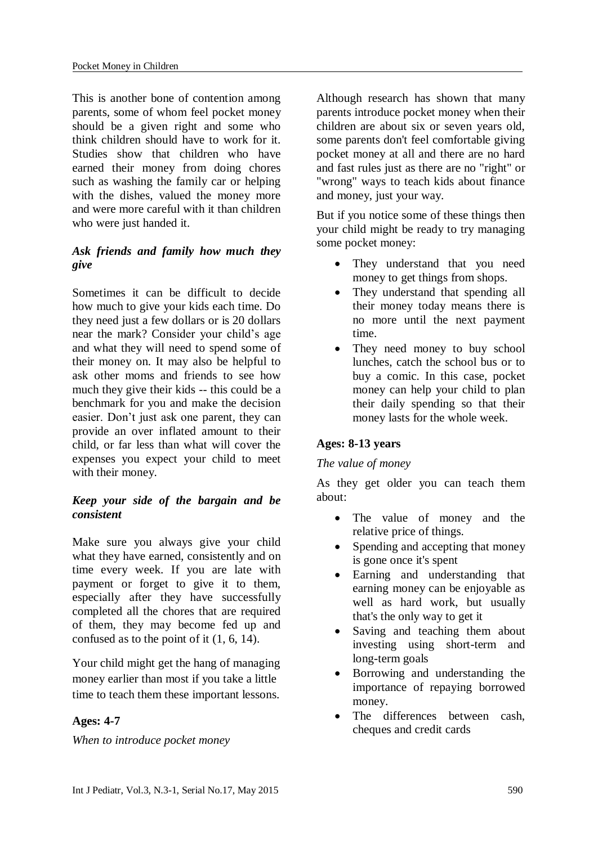This is another bone of contention among parents, some of whom feel pocket money should be a given right and some who think children should have to work for it. Studies show that children who have earned their money from doing chores such as washing the family car or helping with the dishes, valued the money more and were more careful with it than children who were just handed it.

## *Ask friends and family how much they give*

Sometimes it can be difficult to decide how much to give your kids each time. Do they need just a few dollars or is 20 dollars near the mark? Consider your child's age and what they will need to spend some of their money on. It may also be helpful to ask other moms and friends to see how much they give their kids -- this could be a benchmark for you and make the decision easier. Don't just ask one parent, they can provide an over inflated amount to their child, or far less than what will cover the expenses you expect your child to meet with their money.

## *Keep your side of the bargain and be consistent*

Make sure you always give your child what they have earned, consistently and on time every week. If you are late with payment or forget to give it to them, especially after they have successfully completed all the chores that are required of them, they may become fed up and confused as to the point of it (1, 6, 14).

Your child might get the hang of managing money earlier than most if you take a little time to teach them these important lessons.

## **Ages: 4-7**

*When to introduce pocket money*

Although research has shown that many parents introduce pocket money when their children are about six or seven years old, some parents don't feel comfortable giving pocket money at all and there are no hard and fast rules just as there are no "right" or "wrong" ways to teach kids about finance and money, just your way.

But if you notice some of these things then your child might be ready to try managing some pocket money:

- They understand that you need money to get things from shops.
- They understand that spending all their money today means there is no more until the next payment time.
- They need money to buy school lunches, catch the school bus or to buy a comic. In this case, pocket money can help your child to plan their daily spending so that their money lasts for the whole week.

## **Ages: 8-13 years**

## *The value of money*

As they get older you can teach them about:

- The value of money and the relative price of things.
- Spending and accepting that money is gone once it's spent
- Earning and understanding that earning money can be enjoyable as well as hard work, but usually that's the only way to get it
- Saving and teaching them about investing using short-term and long-term goals
- Borrowing and understanding the importance of repaying borrowed money.
- The differences between cash, cheques and credit cards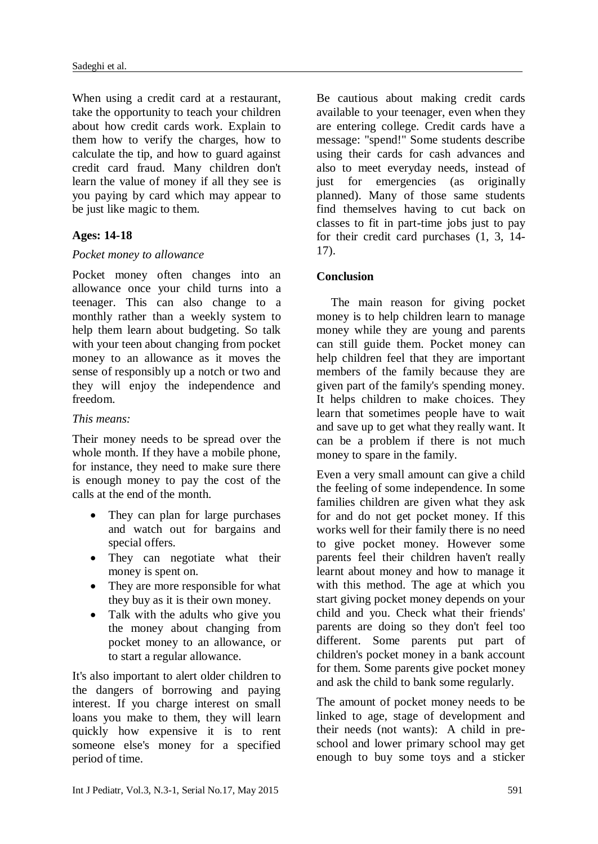When using a credit card at a restaurant, take the opportunity to teach your children about how credit cards work. Explain to them how to verify the charges, how to calculate the tip, and how to guard against credit card fraud. Many children don't learn the value of money if all they see is you paying by card which may appear to be just like magic to them.

### **Ages: 14-18**

#### *Pocket money to allowance*

Pocket money often changes into an allowance once your child turns into a teenager. This can also change to a monthly rather than a weekly system to help them learn about budgeting. So talk with your teen about changing from pocket money to an allowance as it moves the sense of responsibly up a notch or two and they will enjoy the independence and freedom.

#### *This means:*

Their money needs to be spread over the whole month. If they have a mobile phone, for instance, they need to make sure there is enough money to pay the cost of the calls at the end of the month.

- They can plan for large purchases and watch out for bargains and special offers.
- They can negotiate what their money is spent on.
- They are more responsible for what they buy as it is their own money.
- Talk with the adults who give you the money about changing from pocket money to an allowance, or to start a regular allowance.

It's also important to alert older children to the dangers of borrowing and paying interest. If you charge interest on small loans you make to them, they will learn quickly how expensive it is to rent someone else's money for a specified period of time.

Be cautious about making credit cards available to your teenager, even when they are entering college. Credit cards have a message: "spend!" Some students describe using their cards for cash advances and also to meet everyday needs, instead of just for emergencies (as originally planned). Many of those same students find themselves having to cut back on classes to fit in part-time jobs just to pay for their credit card purchases (1, 3, 14- 17).

## **Conclusion**

The main reason for giving pocket money is to help children learn to manage money while they are young and parents can still guide them. Pocket money can help children feel that they are important members of the family because they are given part of the family's spending money. It helps children to make choices. They learn that sometimes people have to wait and save up to get what they really want. It can be a problem if there is not much money to spare in the family.

Even a very small amount can give a child the feeling of some independence. In some families children are given what they ask for and do not get pocket money. If this works well for their family there is no need to give pocket money. However some parents feel their children haven't really learnt about money and how to manage it with this method. The age at which you start giving pocket money depends on your child and you. Check what their friends' parents are doing so they don't feel too different. Some parents put part of children's pocket money in a bank account for them. Some parents give pocket money and ask the child to bank some regularly.

The amount of pocket money needs to be linked to age, stage of development and their needs (not wants): A child in preschool and lower primary school may get enough to buy some toys and a sticker